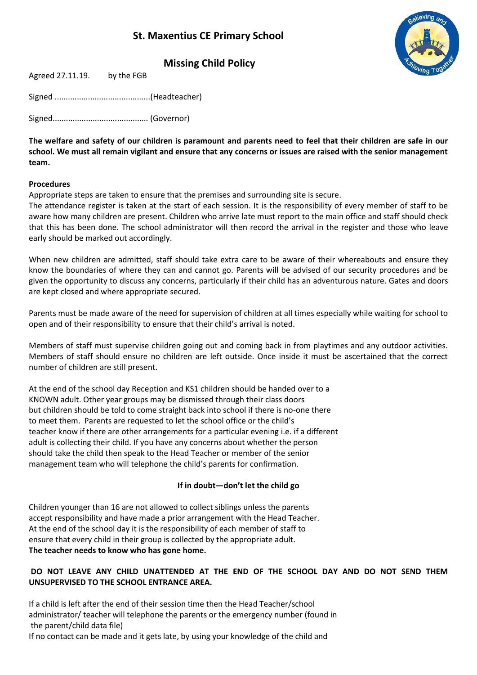# **St. Maxentius CE Primary School**



**Missing Child Policy**

| Agreed 27.11.19. | by the FGB |
|------------------|------------|
|------------------|------------|

Signed ...........................................(Headteacher)

Signed........................................... (Governor)

**The welfare and safety of our children is paramount and parents need to feel that their children are safe in our school. We must all remain vigilant and ensure that any concerns or issues are raised with the senior management team.**

#### **Procedures**

Appropriate steps are taken to ensure that the premises and surrounding site is secure.

The attendance register is taken at the start of each session. It is the responsibility of every member of staff to be aware how many children are present. Children who arrive late must report to the main office and staff should check that this has been done. The school administrator will then record the arrival in the register and those who leave early should be marked out accordingly.

When new children are admitted, staff should take extra care to be aware of their whereabouts and ensure they know the boundaries of where they can and cannot go. Parents will be advised of our security procedures and be given the opportunity to discuss any concerns, particularly if their child has an adventurous nature. Gates and doors are kept closed and where appropriate secured.

Parents must be made aware of the need for supervision of children at all times especially while waiting for school to open and of their responsibility to ensure that their child's arrival is noted.

Members of staff must supervise children going out and coming back in from playtimes and any outdoor activities. Members of staff should ensure no children are left outside. Once inside it must be ascertained that the correct number of children are still present.

At the end of the school day Reception and KS1 children should be handed over to a KNOWN adult. Other year groups may be dismissed through their class doors but children should be told to come straight back into school if there is no-one there to meet them. Parents are requested to let the school office or the child's teacher know if there are other arrangements for a particular evening i.e. if a different adult is collecting their child. If you have any concerns about whether the person should take the child then speak to the Head Teacher or member of the senior management team who will telephone the child's parents for confirmation.

#### **If in doubt—don't let the child go**

Children younger than 16 are not allowed to collect siblings unless the parents accept responsibility and have made a prior arrangement with the Head Teacher. At the end of the school day it is the responsibility of each member of staff to ensure that every child in their group is collected by the appropriate adult. **The teacher needs to know who has gone home.**

### **DO NOT LEAVE ANY CHILD UNATTENDED AT THE END OF THE SCHOOL DAY AND DO NOT SEND THEM UNSUPERVISED TO THE SCHOOL ENTRANCE AREA.**

If a child is left after the end of their session time then the Head Teacher/school administrator/ teacher will telephone the parents or the emergency number (found in the parent/child data file)

If no contact can be made and it gets late, by using your knowledge of the child and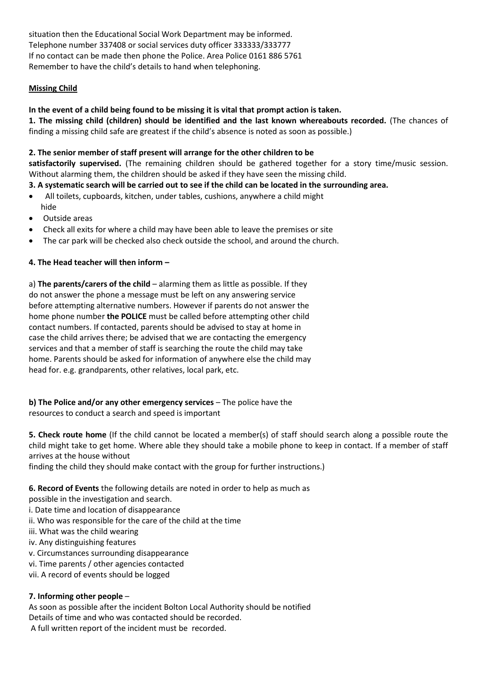situation then the Educational Social Work Department may be informed. Telephone number 337408 or social services duty officer 333333/333777 If no contact can be made then phone the Police. Area Police 0161 886 5761 Remember to have the child's details to hand when telephoning.

### **Missing Child**

# **In the event of a child being found to be missing it is vital that prompt action is taken.**

**1. The missing child (children) should be identified and the last known whereabouts recorded.** (The chances of finding a missing child safe are greatest if the child's absence is noted as soon as possible.)

#### **2. The senior member of staff present will arrange for the other children to be**

**satisfactorily supervised.** (The remaining children should be gathered together for a story time/music session. Without alarming them, the children should be asked if they have seen the missing child.

### **3. A systematic search will be carried out to see if the child can be located in the surrounding area.**

- All toilets, cupboards, kitchen, under tables, cushions, anywhere a child might hide
- Outside areas
- Check all exits for where a child may have been able to leave the premises or site
- The car park will be checked also check outside the school, and around the church.

### **4. The Head teacher will then inform –**

a) **The parents/carers of the child** – alarming them as little as possible. If they do not answer the phone a message must be left on any answering service before attempting alternative numbers. However if parents do not answer the home phone number **the POLICE** must be called before attempting other child contact numbers. If contacted, parents should be advised to stay at home in case the child arrives there; be advised that we are contacting the emergency services and that a member of staff is searching the route the child may take home. Parents should be asked for information of anywhere else the child may head for. e.g. grandparents, other relatives, local park, etc.

**b) The Police and/or any other emergency services** – The police have the resources to conduct a search and speed is important

**5. Check route home** (If the child cannot be located a member(s) of staff should search along a possible route the child might take to get home. Where able they should take a mobile phone to keep in contact. If a member of staff arrives at the house without

finding the child they should make contact with the group for further instructions.)

**6. Record of Events** the following details are noted in order to help as much as

possible in the investigation and search.

- i. Date time and location of disappearance
- ii. Who was responsible for the care of the child at the time
- iii. What was the child wearing
- iv. Any distinguishing features
- v. Circumstances surrounding disappearance
- vi. Time parents / other agencies contacted
- vii. A record of events should be logged

# **7. Informing other people** –

As soon as possible after the incident Bolton Local Authority should be notified Details of time and who was contacted should be recorded. A full written report of the incident must be recorded.